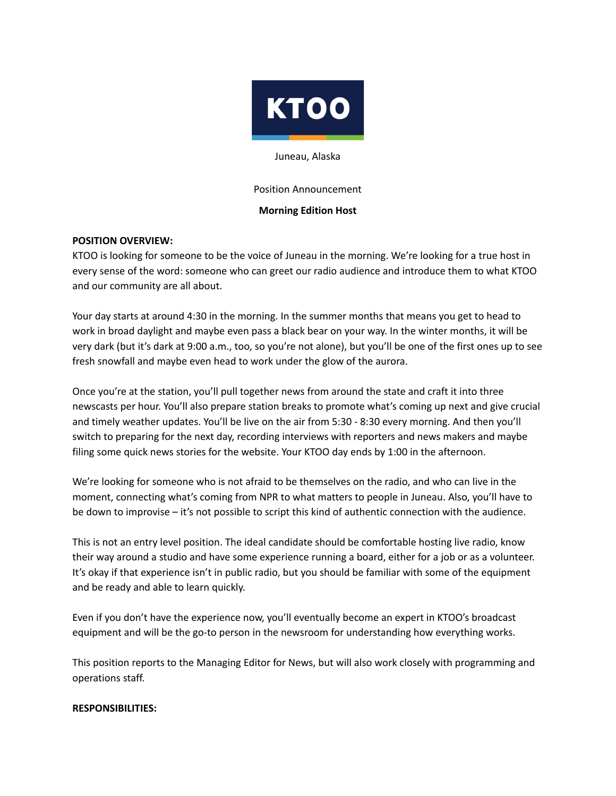

#### Juneau, Alaska

#### Position Announcement

## **Morning Edition Host**

## **POSITION OVERVIEW:**

KTOO is looking for someone to be the voice of Juneau in the morning. We're looking for a true host in every sense of the word: someone who can greet our radio audience and introduce them to what KTOO and our community are all about.

Your day starts at around 4:30 in the morning. In the summer months that means you get to head to work in broad daylight and maybe even pass a black bear on your way. In the winter months, it will be very dark (but it's dark at 9:00 a.m., too, so you're not alone), but you'll be one of the first ones up to see fresh snowfall and maybe even head to work under the glow of the aurora.

Once you're at the station, you'll pull together news from around the state and craft it into three newscasts per hour. You'll also prepare station breaks to promote what's coming up next and give crucial and timely weather updates. You'll be live on the air from 5:30 - 8:30 every morning. And then you'll switch to preparing for the next day, recording interviews with reporters and news makers and maybe filing some quick news stories for the website. Your KTOO day ends by 1:00 in the afternoon.

We're looking for someone who is not afraid to be themselves on the radio, and who can live in the moment, connecting what's coming from NPR to what matters to people in Juneau. Also, you'll have to be down to improvise – it's not possible to script this kind of authentic connection with the audience.

This is not an entry level position. The ideal candidate should be comfortable hosting live radio, know their way around a studio and have some experience running a board, either for a job or as a volunteer. It's okay if that experience isn't in public radio, but you should be familiar with some of the equipment and be ready and able to learn quickly.

Even if you don't have the experience now, you'll eventually become an expert in KTOO's broadcast equipment and will be the go-to person in the newsroom for understanding how everything works.

This position reports to the Managing Editor for News, but will also work closely with programming and operations staff.

### **RESPONSIBILITIES:**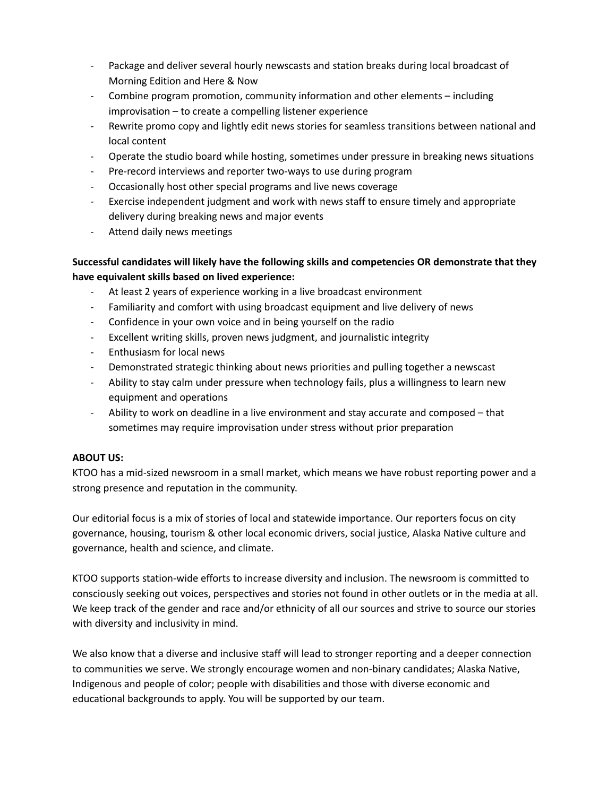- Package and deliver several hourly newscasts and station breaks during local broadcast of Morning Edition and Here & Now
- Combine program promotion, community information and other elements including improvisation – to create a compelling listener experience
- Rewrite promo copy and lightly edit news stories for seamless transitions between national and local content
- Operate the studio board while hosting, sometimes under pressure in breaking news situations
- Pre-record interviews and reporter two-ways to use during program
- Occasionally host other special programs and live news coverage
- Exercise independent judgment and work with news staff to ensure timely and appropriate delivery during breaking news and major events
- Attend daily news meetings

# **Successful candidates will likely have the following skills and competencies OR demonstrate that they have equivalent skills based on lived experience:**

- At least 2 years of experience working in a live broadcast environment
- Familiarity and comfort with using broadcast equipment and live delivery of news
- Confidence in your own voice and in being yourself on the radio
- Excellent writing skills, proven news judgment, and journalistic integrity
- Enthusiasm for local news
- Demonstrated strategic thinking about news priorities and pulling together a newscast
- Ability to stay calm under pressure when technology fails, plus a willingness to learn new equipment and operations
- Ability to work on deadline in a live environment and stay accurate and composed that sometimes may require improvisation under stress without prior preparation

## **ABOUT US:**

KTOO has a mid-sized newsroom in a small market, which means we have robust reporting power and a strong presence and reputation in the community.

Our editorial focus is a mix of stories of local and statewide importance. Our reporters focus on city governance, housing, tourism & other local economic drivers, social justice, Alaska Native culture and governance, health and science, and climate.

KTOO supports station-wide efforts to increase diversity and inclusion. The newsroom is committed to consciously seeking out voices, perspectives and stories not found in other outlets or in the media at all. We keep track of the gender and race and/or ethnicity of all our sources and strive to source our stories with diversity and inclusivity in mind.

We also know that a diverse and inclusive staff will lead to stronger reporting and a deeper connection to communities we serve. We strongly encourage women and non-binary candidates; Alaska Native, Indigenous and people of color; people with disabilities and those with diverse economic and educational backgrounds to apply. You will be supported by our team.